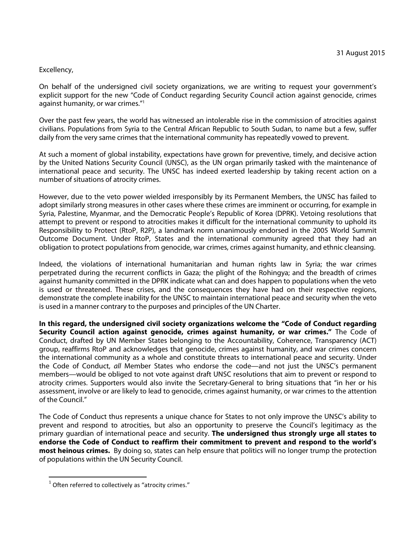## Excellency,

On behalf of the undersigned civil society organizations, we are writing to request your government's explicit support for the new "Code of Conduct regarding Security Council action against genocide, crimes against humanity, or war crimes."<sup>1</sup>

Over the past few years, the world has witnessed an intolerable rise in the commission of atrocities against civilians. Populations from Syria to the Central African Republic to South Sudan, to name but a few, suffer daily from the very same crimes that the international community has repeatedly vowed to prevent.

At such a moment of global instability, expectations have grown for preventive, timely, and decisive action by the United Nations Security Council (UNSC), as the UN organ primarily tasked with the maintenance of international peace and security. The UNSC has indeed exerted leadership by taking recent action on a number of situations of atrocity crimes.

However, due to the veto power wielded irresponsibly by its Permanent Members, the UNSC has failed to adopt similarly strong measures in other cases where these crimes are imminent or occurring, for example in Syria, Palestine, Myanmar, and the Democratic People's Republic of Korea (DPRK). Vetoing resolutions that attempt to prevent or respond to atrocities makes it difficult for the international community to uphold its Responsibility to Protect (RtoP, R2P), a landmark norm unanimously endorsed in the 2005 World Summit Outcome Document. Under RtoP, States and the international community agreed that they had an obligation to protect populations from genocide, war crimes, crimes against humanity, and ethnic cleansing.

Indeed, the violations of international humanitarian and human rights law in Syria; the war crimes perpetrated during the recurrent conflicts in Gaza; the plight of the Rohingya; and the breadth of crimes against humanity committed in the DPRK indicate what can and does happen to populations when the veto is used or threatened. These crises, and the consequences they have had on their respective regions, demonstrate the complete inability for the UNSC to maintain international peace and security when the veto is used in a manner contrary to the purposes and principles of the UN Charter.

**In this regard, the undersigned civil society organizations welcome the "Code of Conduct regarding Security Council action against genocide, crimes against humanity, or war crimes."** The Code of Conduct, drafted by UN Member States belonging to the Accountability, Coherence, Transparency (ACT) group, reaffirms RtoP and acknowledges that genocide, crimes against humanity, and war crimes concern the international community as a whole and constitute threats to international peace and security. Under the Code of Conduct, all Member States who endorse the code—and not just the UNSC's permanent members—would be obliged to not vote against draft UNSC resolutions that aim to prevent or respond to atrocity crimes. Supporters would also invite the Secretary-General to bring situations that "in her or his assessment, involve or are likely to lead to genocide, crimes against humanity, or war crimes to the attention of the Council."

The Code of Conduct thus represents a unique chance for States to not only improve the UNSC's ability to prevent and respond to atrocities, but also an opportunity to preserve the Council's legitimacy as the primary guardian of international peace and security. **The undersigned thus strongly urge all states to endorse the Code of Conduct to reaffirm their commitment to prevent and respond to the world's most heinous crimes.** By doing so, states can help ensure that politics will no longer trump the protection of populations within the UN Security Council.

l

 $1$  Often referred to collectively as "atrocity crimes."